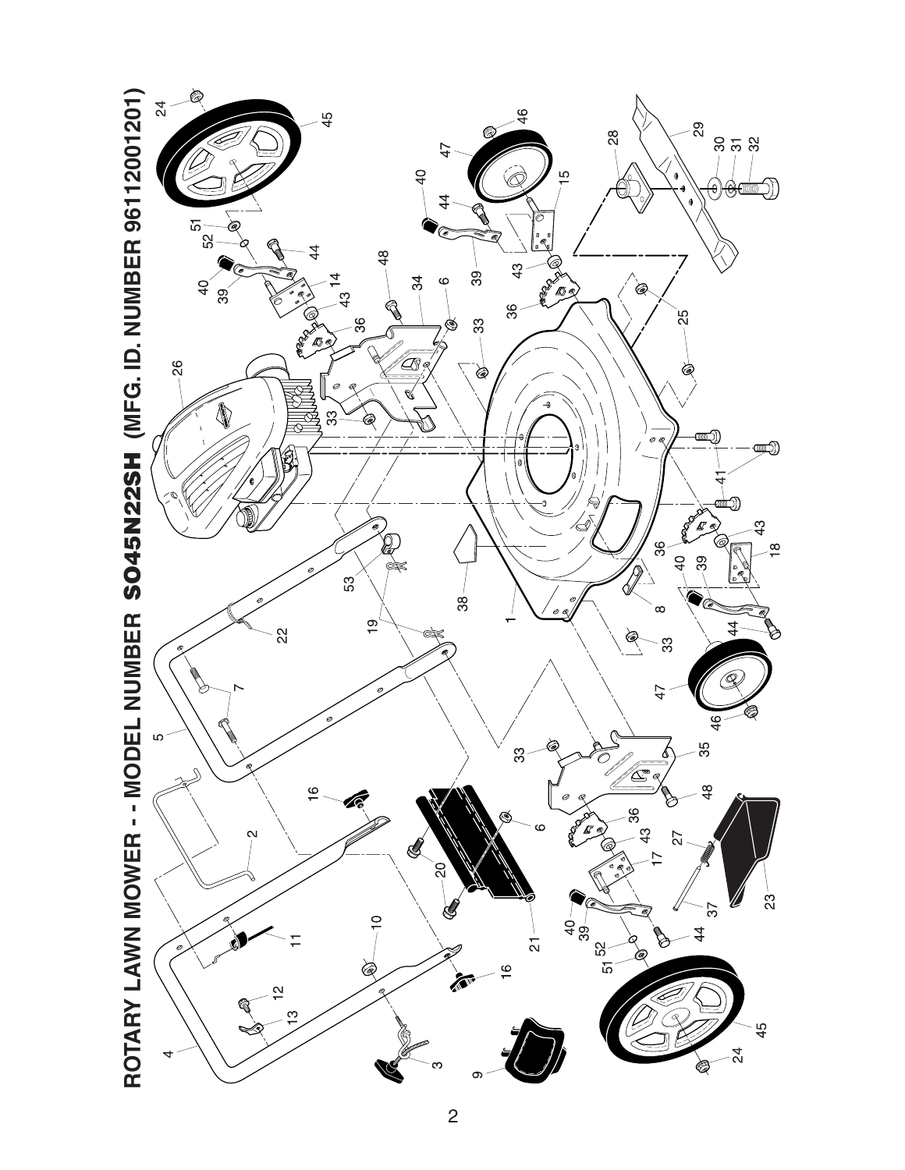